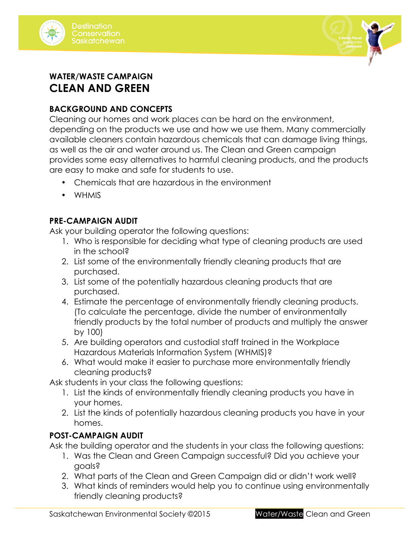



# **WATER/WASTE CAMPAIGN CLEAN AND GREEN**

# **BACKGROUND AND CONCEPTS**

Cleaning our homes and work places can be hard on the environment, depending on the products we use and how we use them. Many commercially available cleaners contain hazardous chemicals that can damage living things, as well as the air and water around us. The Clean and Green campaign provides some easy alternatives to harmful cleaning products, and the products are easy to make and safe for students to use.

- Chemicals that are hazardous in the environment
- WHMIS

# **PRE-CAMPAIGN AUDIT**

Ask your building operator the following questions:

- 1. Who is responsible for deciding what type of cleaning products are used in the school?
- 2. List some of the environmentally friendly cleaning products that are purchased.
- 3. List some of the potentially hazardous cleaning products that are purchased.
- 4. Estimate the percentage of environmentally friendly cleaning products. (To calculate the percentage, divide the number of environmentally friendly products by the total number of products and multiply the answer by 100)
- 5. Are building operators and custodial staff trained in the Workplace Hazardous Materials Information System (WHMIS)?
- 6. What would make it easier to purchase more environmentally friendly cleaning products?

Ask students in your class the following questions:

- 1. List the kinds of environmentally friendly cleaning products you have in your homes.
- 2. List the kinds of potentially hazardous cleaning products you have in your homes.

# **POST-CAMPAIGN AUDIT**

Ask the building operator and the students in your class the following questions:

- 1. Was the Clean and Green Campaign successful? Did you achieve your goals?
- 2. What parts of the Clean and Green Campaign did or didn't work well?
- 3. What kinds of reminders would help you to continue using environmentally friendly cleaning products?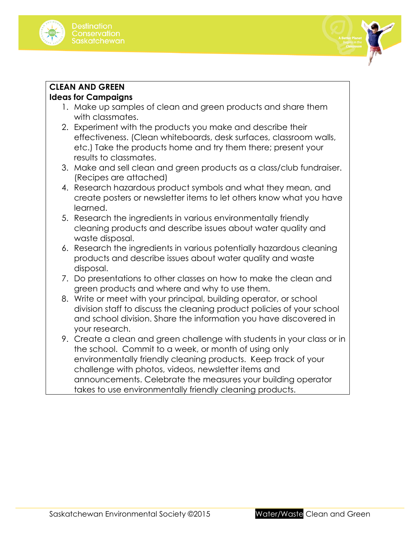



# **CLEAN AND GREEN**

# **Ideas for Campaigns**

- 1. Make up samples of clean and green products and share them with classmates.
- 2. Experiment with the products you make and describe their effectiveness. (Clean whiteboards, desk surfaces, classroom walls, etc.) Take the products home and try them there; present your results to classmates.
- 3. Make and sell clean and green products as a class/club fundraiser. (Recipes are attached)
- 4. Research hazardous product symbols and what they mean, and create posters or newsletter items to let others know what you have learned.
- 5. Research the ingredients in various environmentally friendly cleaning products and describe issues about water quality and waste disposal.
- 6. Research the ingredients in various potentially hazardous cleaning products and describe issues about water quality and waste disposal.
- 7. Do presentations to other classes on how to make the clean and green products and where and why to use them.
- 8. Write or meet with your principal, building operator, or school division staff to discuss the cleaning product policies of your school and school division. Share the information you have discovered in your research.
- 9. Create a clean and green challenge with students in your class or in the school. Commit to a week, or month of using only environmentally friendly cleaning products. Keep track of your challenge with photos, videos, newsletter items and announcements. Celebrate the measures your building operator takes to use environmentally friendly cleaning products.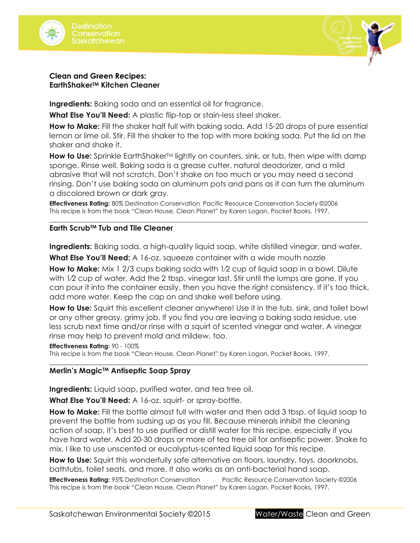



### **Clean and Green Recipes: EarthShakerTM Kitchen Cleaner**

**Ingredients:** Baking soda and an essential oil for fragrance.

**What Else You'll Need:** A plastic flip-top or stain-less steel shaker.

**How to Make:** Fill the shaker half full with baking soda. Add 15-20 drops of pure essential lemon or lime oil. Stir. Fill the shaker to the top with more baking soda. Put the lid on the shaker and shake it.

How to Use: Sprinkle EarthShaker<sup>TM</sup> lightly on counters, sink, or tub, then wipe with damp sponge. Rinse well. Baking soda is a grease cutter, natural deodorizer, and a mild abrasive that will not scratch. Don't shake on too much or you may need a second rinsing. Don't use baking soda on aluminum pots and pans as it can turn the aluminum a discolored brown or dark gray.

**Effectiveness Rating:** 80% Destination Conservation Pacific Resource Conservation Society ©2006 This recipe is from the book "Clean House, Clean Planet" by Karen Logan, Pocket Books, 1997.

### **Earth ScrubTM Tub and Tile Cleaner**

**Ingredients:** Baking soda, a high-quality liquid soap, white distilled vinegar, and water.

\_\_\_\_\_\_\_\_\_\_\_\_\_\_\_\_\_\_\_\_\_\_\_\_\_\_\_\_\_\_\_\_\_\_\_\_\_\_\_\_\_\_\_\_\_\_\_\_\_\_\_\_\_\_\_\_\_\_\_\_\_\_\_\_\_\_\_\_\_\_\_\_\_\_\_\_\_\_\_\_\_\_\_\_\_\_\_\_\_\_\_\_\_

**What Else You'll Need:** A 16-oz. squeeze container with a wide mouth nozzle

**How to Make:** Mix 1 2/3 cups baking soda with 1⁄2 cup of liquid soap in a bowl. Dilute with 1⁄2 cup of water. Add the 2 tbsp. vinegar last. Stir until the lumps are gone. If you can pour it into the container easily, then you have the right consistency. If it's too thick, add more water. Keep the cap on and shake well before using.

**How to Use:** Squirt this excellent cleaner anywhere! Use it in the tub, sink, and toilet bowl or any other greasy, grimy job. If you find you are leaving a baking soda residue, use less scrub next time and/or rinse with a squirt of scented vinegar and water. A vinegar rinse may help to prevent mold and mildew, too.

\_\_\_\_\_\_\_\_\_\_\_\_\_\_\_\_\_\_\_\_\_\_\_\_\_\_\_\_\_\_\_\_\_\_\_\_\_\_\_\_\_\_\_\_\_\_\_\_\_\_\_\_\_\_\_\_\_\_\_\_\_\_\_\_\_\_\_\_\_\_\_\_\_\_\_\_\_\_\_\_\_\_\_\_\_\_\_\_\_\_\_\_\_

### **Effectiveness Rating:** 90 - 100%

This recipe is from the book "Clean House, Clean Planet" by Karen Logan, Pocket Books, 1997.

### **Merlin's MagicTM Antiseptic Soap Spray**

**Ingredients:** Liquid soap, purified water, and tea tree oil.

**What Else You'll Need:** A 16-oz. squirt- or spray-bottle.

**How to Make:** Fill the bottle almost full with water and then add 3 tbsp. of liquid soap to prevent the bottle from sudsing up as you fill. Because minerals inhibit the cleaning action of soap, it's best to use purified or distill water for this recipe, especially if you have hard water. Add 20-30 drops or more of tea tree oil for antiseptic power. Shake to mix. I like to use unscented or eucalyptus-scented liquid soap for this recipe.

How to Use: Squirt this wonderfully safe alternative on floors, laundry, toys, doorknobs, bathtubs, toilet seats, and more. It also works as an anti-bacterial hand soap.

**Effectiveness Rating:** 95% Destination Conservation Pacific Resource Conservation Society ©2006 This recipe is from the book "Clean House, Clean Planet" by Karen Logan, Pocket Books, 1997.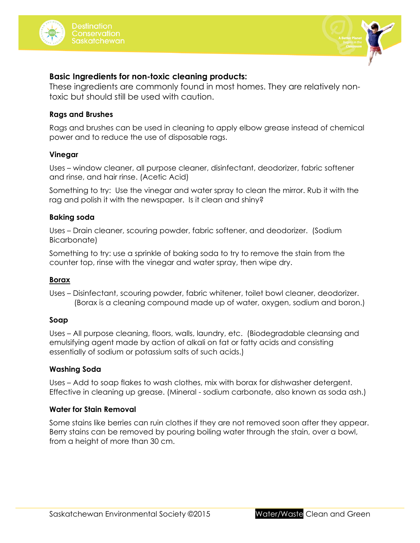





### **Basic Ingredients for non-toxic cleaning products:**

These ingredients are commonly found in most homes. They are relatively nontoxic but should still be used with caution.

### **Rags and Brushes**

Rags and brushes can be used in cleaning to apply elbow grease instead of chemical power and to reduce the use of disposable rags.

### **Vinegar**

Uses – window cleaner, all purpose cleaner, disinfectant, deodorizer, fabric softener and rinse, and hair rinse. (Acetic Acid)

Something to try: Use the vinegar and water spray to clean the mirror. Rub it with the rag and polish it with the newspaper. Is it clean and shiny?

### **Baking soda**

Uses – Drain cleaner, scouring powder, fabric softener, and deodorizer. (Sodium Bicarbonate)

Something to try: use a sprinkle of baking soda to try to remove the stain from the counter top, rinse with the vinegar and water spray, then wipe dry.

### **Borax**

Uses – Disinfectant, scouring powder, fabric whitener, toilet bowl cleaner, deodorizer. (Borax is a cleaning compound made up of water, oxygen, sodium and boron.)

### **Soap**

Uses – All purpose cleaning, floors, walls, laundry, etc. (Biodegradable cleansing and emulsifying agent made by action of alkali on fat or fatty acids and consisting essentially of sodium or potassium salts of such acids.)

### **Washing Soda**

Uses – Add to soap flakes to wash clothes, mix with borax for dishwasher detergent. Effective in cleaning up grease. (Mineral - sodium carbonate, also known as soda ash.)

### **Water for Stain Removal**

Some stains like berries can ruin clothes if they are not removed soon after they appear. Berry stains can be removed by pouring boiling water through the stain, over a bowl, from a height of more than 30 cm.